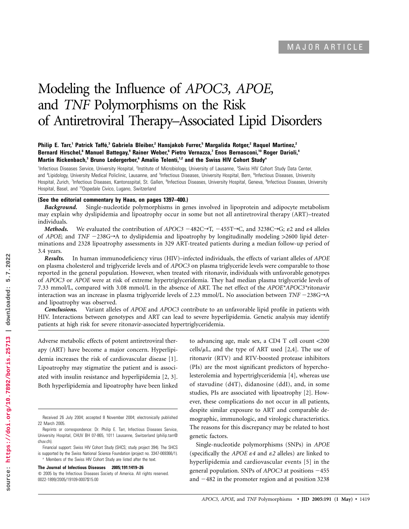# Modeling the Influence of *APOC3, APOE,* and *TNF* Polymorphisms on the Risk of Antiretroviral Therapy–Associated Lipid Disorders

### **Philip E. Tarr,1 Patrick Taffe´ ,3 Gabriela Bleiber,2 Hansjakob Furrer,5 Margalida Rotger,2 Raquel Martinez,2 Bernard Hirschel,8 Manuel Battegay,9 Rainer Weber,6 Pietro Vernazza,7 Enos Bernasconi,10 Roger Darioli,4 Martin Rickenbach,3 Bruno Ledergerber,6 Amalio Telenti,1,2 and the Swiss HIV Cohort Studya**

<sup>1</sup>Infectious Diseases Service, University Hospital, <sup>2</sup>Institute of Microbiology, University of Lausanne, <sup>3</sup>Swiss HIV Cohort Study Data Center, and <sup>4</sup>Lipidology, University Medical Policlinic, Lausanne, and <sup>5</sup>Infectious Diseases, University Hospital, Bern, <sup>6</sup>Infectious Diseases, University Hospital, Zurich, <sup>7</sup>Infectious Diseases, Kantonsspital, St. Gallen, <sup>a</sup>Infectious Diseases, University Hospital, Geneva, <sup>a</sup>Infectious Diseases, University Hospital, Basel, and <sup>10</sup>Ospedale Civico, Lugano, Switzerland

#### **(See the editorial commentary by Haas, on pages 1397–400.)**

*Background.* Single-nucleotide polymorphisms in genes involved in lipoprotein and adipocyte metabolism may explain why dyslipidemia and lipoatrophy occur in some but not all antiretroviral therapy (ART)–treated individuals.

*Methods.* We evaluated the contribution of *APOC3*  $-482C\rightarrow T$ ,  $-455T\rightarrow C$ , and 3238C $\rightarrow G$ ;  $\varepsilon$ 2 and  $\varepsilon$ 4 alleles of *APOE*; and *TNF*  $-238G\rightarrow A$  to dyslipidemia and lipoatrophy by longitudinally modeling  $>2600$  lipid determinations and 2328 lipoatrophy assessments in 329 ART-treated patients during a median follow-up period of 3.4 years.

*Results.* In human immunodeficiency virus (HIV)–infected individuals, the effects of variant alleles of *APOE* on plasma cholesterol and triglyceride levels and of *APOC3* on plasma triglyceride levels were comparable to those reported in the general population. However, when treated with ritonavir, individuals with unfavorable genotypes of *APOC3* or *APOE* were at risk of extreme hypertriglyceridemia. They had median plasma triglyceride levels of 7.33 mmol/L, compared with 3.08 mmol/L in the absence of ART. The net effect of the *APOE\*APOC3\**ritonavir interaction was an increase in plasma triglyceride levels of 2.23 mmol/L. No association between  $TNF - 238G \rightarrow A$ and lipoatrophy was observed.

*Conclusions.* Variant alleles of *APOE* and *APOC3* contribute to an unfavorable lipid profile in patients with HIV. Interactions between genotypes and ART can lead to severe hyperlipidemia. Genetic analysis may identify patients at high risk for severe ritonavir-associated hypertriglyceridemia.

Adverse metabolic effects of potent antiretroviral therapy (ART) have become a major concern. Hyperlipidemia increases the risk of cardiovascular disease [1]. Lipoatrophy may stigmatize the patient and is associated with insulin resistance and hyperlipidemia [2, 3]. Both hyperlipidemia and lipoatrophy have been linked

<sup>a</sup> Members of the Swiss HIV Cohort Study are listed after the text. **The Journal of Infectious Diseases 2005; 191:1419–26**

 $\degree$  2005 by the Infectious Diseases Society of America. All rights reserved. 0022-1899/2005/19109-0007\$15.00

to advancing age, male sex, a CD4 T cell count  $<200$ cells/ $\mu$ L, and the type of ART used [2,4]. The use of ritonavir (RTV) and RTV-boosted protease inhibitors (PIs) are the most significant predictors of hypercholesterolemia and hypertriglyceridemia [4], whereas use of stavudine (d4T), didanosine (ddI), and, in some studies, PIs are associated with lipoatrophy [2]. However, these complications do not occur in all patients, despite similar exposure to ART and comparable demographic, immunologic, and virologic characteristics. The reasons for this discrepancy may be related to host genetic factors.

Single-nucleotide polymorphisms (SNPs) in *APOE* (specifically the *APOE*  $\varepsilon$ 4 and  $\varepsilon$ 2 alleles) are linked to hyperlipidemia and cardiovascular events [5] in the general population. SNPs of *APOC3* at positions -455 and  $-482$  in the promoter region and at position 3238

Received 26 July 2004; accepted 8 November 2004; electronically published 22 March 2005.

Reprints or correspondence: Dr. Philip E. Tarr, Infectious Diseases Service, University Hospital, CHUV BH 07-865, 1011 Lausanne, Switzerland (philip.tarr@ chuv.ch).

Financial support: Swiss HIV Cohort Study (SHCS; study project 394). The SHCS is supported by the Swiss National Science Foundation (project no. 3347-069366/1).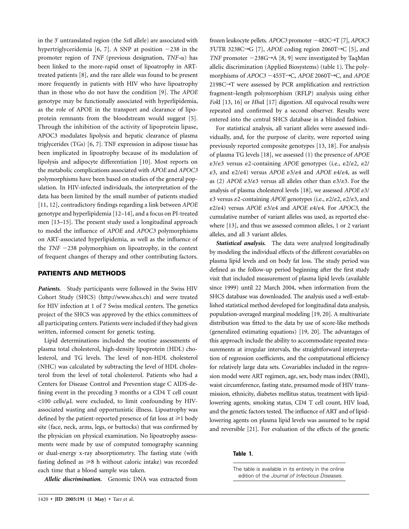in the 3 untranslated region (the *Sst*I allele) are associated with hypertriglyceridemia [6, 7]. A SNP at position  $-238$  in the promoter region of *TNF* (previous designation, *TNF-*a) has been linked to the more-rapid onset of lipoatrophy in ARTtreated patients [8], and the rare allele was found to be present more frequently in patients with HIV who have lipoatrophy than in those who do not have the condition [9]. The *APOE* genotype may be functionally associated with hyperlipidemia, as the role of APOE in the transport and clearance of lipoprotein remnants from the bloodstream would suggest [5]. Through the inhibition of the activity of lipoprotein lipase, APOC3 modulates lipolysis and hepatic clearance of plasma triglycerides (TGs) [6, 7]. TNF expression in adipose tissue has been implicated in lipoatrophy because of its modulation of lipolysis and adipocyte differentiation [10]. Most reports on the metabolic complications associated with *APOE* and *APOC3* polymorphisms have been based on studies of the general population. In HIV-infected individuals, the interpretation of the data has been limited by the small number of patients studied [11, 12], contradictory findings regarding a link between *APOE* genotype and hyperlipidemia [12–14], and a focus on PI-treated men [13–15]. The present study used a longitudinal approach to model the influence of *APOE* and *APOC3* polymorphisms on ART-associated hyperlipidemia, as well as the influence of the  $TNF -238$  polymorphism on lipoatrophy, in the context of frequent changes of therapy and other contributing factors.

## **PATIENTS AND METHODS**

*Patients.* Study participants were followed in the Swiss HIV Cohort Study (SHCS) (http://www.shcs.ch) and were treated for HIV infection at 1 of 7 Swiss medical centers. The genetics project of the SHCS was approved by the ethics committees of all participating centers. Patients were included if they had given written, informed consent for genetic testing.

Lipid determinations included the routine assessments of plasma total cholesterol, high-density lipoprotein (HDL) cholesterol, and TG levels. The level of non-HDL cholesterol (NHC) was calculated by subtracting the level of HDL cholesterol from the level of total cholesterol. Patients who had a Centers for Disease Control and Prevention stage C AIDS-defining event in the preceding 3 months or a CD4 T cell count  $\langle 100 \text{ cells/}\mu\text{L}$  were excluded, to limit confounding by HIVassociated wasting and opportunistic illness. Lipoatrophy was defined by the patient-reported presence of fat loss at  $\geq 1$  body site (face, neck, arms, legs, or buttocks) that was confirmed by the physician on physical examination. No lipoatrophy assessments were made by use of computed tomography scanning or dual-energy x-ray absorptiometry. The fasting state (with fasting defined as  $\geq 8$  h without caloric intake) was recorded each time that a blood sample was taken.

*Allelic discrimination.* Genomic DNA was extracted from

frozen leukocyte pellets. *APOC3* promoter −482C→T [7], *APOC3* 3'UTR 3238C→G [7], *APOE* coding region 2060T→C [5], and *TNF* promoter  $-238G\rightarrow A$  [8, 9] were investigated by TaqMan allelic discrimination (Applied Biosystems) (table 1). The polymorphisms of *APOC3*  $-455T\rightarrow C$ , *APOE* 2060T $\rightarrow$ C, and *APOE*  $2198C \rightarrow T$  were assessed by PCR amplification and restriction fragment–length polymorphism (RFLP) analysis using either *Fok*I [13, 16] or *Hha*I [17] digestion. All equivocal results were repeated and confirmed by a second observer. Results were entered into the central SHCS database in a blinded fashion.

For statistical analysis, all variant alleles were assessed individually, and, for the purpose of clarity, were reported using previously reported composite genotypes [13, 18]. For analysis of plasma TG levels [18], we assessed (1) the presence of *APOE*  $\epsilon$ 3/ $\epsilon$ 3 versus  $\epsilon$ 2-containing *APOE* genotypes (i.e.,  $\epsilon$ 2/ $\epsilon$ 2,  $\epsilon$ 2/  $\epsilon$ 3, and  $\epsilon$ 2/ $\epsilon$ 4) versus *APOE*  $\epsilon$ 3/ $\epsilon$ 4 and *APOE*  $\epsilon$ 4/ $\epsilon$ 4, as well as (2) *APOE*  $\epsilon 3/\epsilon 3$  versus all alleles other than  $\epsilon 3/\epsilon 3$ . For the analysis of plasma cholesterol levels [18], we assessed *APOE*  $\varepsilon$ 3/  $\varepsilon$ 3 versus  $\varepsilon$ 2-containing *APOE* genotypes (i.e.,  $\varepsilon$ 2/ $\varepsilon$ 2,  $\varepsilon$ 2/ $\varepsilon$ 3, and  $\epsilon^2/\epsilon^4$ ) versus *APOE*  $\epsilon^3/\epsilon^4$  and *APOE*  $\epsilon^4/\epsilon^4$ . For *APOC3*, the cumulative number of variant alleles was used, as reported elsewhere [13], and thus we assessed common alleles, 1 or 2 variant alleles, and all 3 variant alleles.

*Statistical analysis.* The data were analyzed longitudinally by modeling the individual effects of the different covariables on plasma lipid levels and on body fat loss. The study period was defined as the follow-up period beginning after the first study visit that included measurement of plasma lipid levels (available since 1999) until 22 March 2004, when information from the SHCS database was downloaded. The analysis used a well-established statistical method developed for longitudinal data analysis, population-averaged marginal modeling [19, 20]. A multivariate distribution was fitted to the data by use of score-like methods (generalized estimating equations) [19, 20]. The advantages of this approach include the ability to accommodate repeated measurements at irregular intervals, the straightforward interpretation of regression coefficients, and the computational efficiency for relatively large data sets. Covariables included in the regression model were ART regimen, age, sex, body mass index (BMI), waist circumference, fasting state, presumed mode of HIV transmission, ethnicity, diabetes mellitus status, treatment with lipidlowering agents, smoking status, CD4 T cell count, HIV load, and the genetic factors tested. The influence of ART and of lipidlowering agents on plasma lipid levels was assumed to be rapid and reversible [21]. For evaluation of the effects of the genetic

#### **Table 1.**

The table is available in its entirety in the online edition of the *Journal of Infectious Diseases.*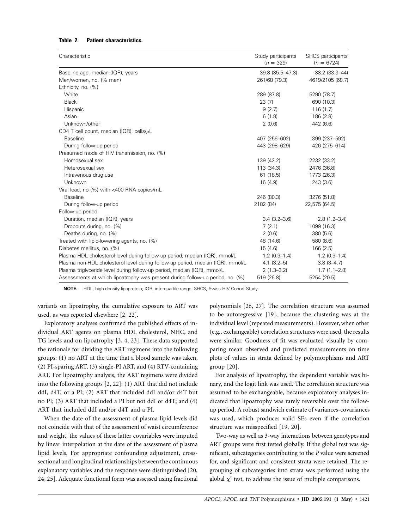## **Table 2. Patient characteristics.**

| Characteristic                                                                 | Study participants<br>$(n = 329)$ | <b>SHCS</b> participants<br>$(n = 6724)$ |
|--------------------------------------------------------------------------------|-----------------------------------|------------------------------------------|
| Baseline age, median (IQR), years                                              | 39.8 (35.5-47.3)                  | 38.2 (33.3-44)                           |
| Men/women, no. (% men)                                                         | 261/68 (79.3)                     | 4619/2105 (68.7)                         |
| Ethnicity, no. (%)                                                             |                                   |                                          |
| White                                                                          | 289 (87.8)                        | 5290 (78.7)                              |
| <b>Black</b>                                                                   | 23 (7)                            | 690 (10.3)                               |
| Hispanic                                                                       | 9(2.7)                            | 116(1.7)                                 |
| Asian                                                                          | 6(1.8)                            | 186 (2.8)                                |
| Unknown/other                                                                  | 2(0.6)                            | 442 (6.6)                                |
| CD4 T cell count, median (IQR), cells/ $\mu$ L                                 |                                   |                                          |
| <b>Baseline</b>                                                                | 407 (256-602)                     | 399 (237-592)                            |
| During follow-up period                                                        | 443 (298-629)                     | 426 (275-614)                            |
| Presumed mode of HIV transmission, no. (%)                                     |                                   |                                          |
| Homosexual sex                                                                 | 139 (42.2)                        | 2232 (33.2)                              |
| Heterosexual sex                                                               | 113 (34.3)                        | 2476 (36.8)                              |
| Intravenous drug use                                                           | 61(18.5)                          | 1773 (26.3)                              |
| Unknown                                                                        | 16(4.9)                           | 243 (3.6)                                |
| Viral load, no (%) with <400 RNA copies/mL                                     |                                   |                                          |
| <b>Baseline</b>                                                                | 246 (80.3)                        | 3276 (51.8)                              |
| During follow-up period                                                        | 2182 (84)                         | 22,575 (64.5)                            |
| Follow-up period                                                               |                                   |                                          |
| Duration, median (IQR), years                                                  | $3.4(3.2 - 3.6)$                  | $2.8(1.2 - 3.4)$                         |
| Dropouts during, no. (%)                                                       | 7(2.1)                            | 1099 (16.3)                              |
| Deaths during, no. (%)                                                         | 2(0.6)                            | 380 (5.6)                                |
| Treated with lipid-lowering agents, no. (%)                                    | 48 (14.6)                         | 580 (8.6)                                |
| Diabetes mellitus, no. (%)                                                     | 15(4.6)                           | 166(2.5)                                 |
| Plasma HDL cholesterol level during follow-up period, median (IQR), mmol/L     | $1.2(0.9-1.4)$                    | $1.2(0.9-1.4)$                           |
| Plasma non-HDL cholesterol level during follow-up period, median (IQR), mmol/L | $4.1(3.2-5)$                      | $3.8(3 - 4.7)$                           |
| Plasma triglyceride level during follow-up period, median (IQR), mmol/L        | $2(1.3-3.2)$                      | $1.7(1.1 - 2.8)$                         |
| Assessments at which lipoatrophy was present during follow-up period, no. (%)  | 519 (26.8)                        | 5254 (20.5)                              |

**NOTE.** HDL, high-density lipoprotein; IQR, interquartile range; SHCS, Swiss HIV Cohort Study.

variants on lipoatrophy, the cumulative exposure to ART was used, as was reported elsewhere [2, 22].

Exploratory analyses confirmed the published effects of individual ART agents on plasma HDL cholesterol, NHC, and TG levels and on lipoatrophy [3, 4, 23]. These data supported the rationale for dividing the ART regimens into the following groups: (1) no ART at the time that a blood sample was taken, (2) PI-sparing ART, (3) single-PI ART, and (4) RTV-containing ART. For lipoatrophy analysis, the ART regimens were divided into the following groups [2, 22]: (1) ART that did not include ddI, d4T, or a PI; (2) ART that included ddI and/or d4T but no PI; (3) ART that included a PI but not ddI or d4T; and (4) ART that included ddI and/or d4T and a PI.

When the date of the assessment of plasma lipid levels did not coincide with that of the assessment of waist circumference and weight, the values of these latter covariables were imputed by linear interpolation at the date of the assessment of plasma lipid levels. For appropriate confounding adjustment, crosssectional and longitudinal relationships between the continuous explanatory variables and the response were distinguished [20, 24, 25]. Adequate functional form was assessed using fractional

polynomials [26, 27]. The correlation structure was assumed to be autoregressive [19], because the clustering was at the individual level (repeated measurements). However, when other (e.g., exchangeable) correlation structures were used, the results were similar. Goodness of fit was evaluated visually by comparing mean observed and predicted measurements on time plots of values in strata defined by polymorphisms and ART group [20].

For analysis of lipoatrophy, the dependent variable was binary, and the logit link was used. The correlation structure was assumed to be exchangeable, because exploratory analyses indicated that lipoatrophy was rarely reversible over the followup period. A robust sandwich estimate of variances-covariances was used, which produces valid SEs even if the correlation structure was misspecified [19, 20].

Two-way as well as 3-way interactions between genotypes and ART groups were first tested globally. If the global test was significant, subcategories contributing to the *P* value were screened for, and significant and consistent strata were retained. The regrouping of subcategories into strata was performed using the global  $\chi^2$  test, to address the issue of multiple comparisons.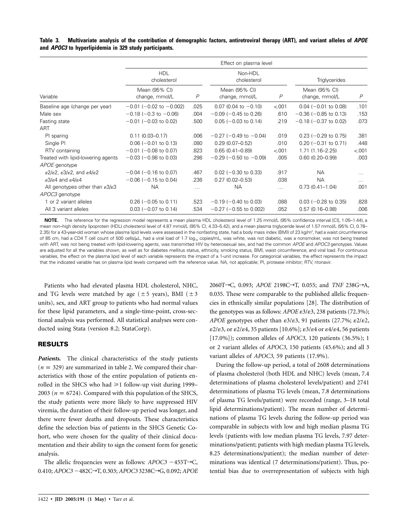**Table 3. Multivariate analysis of the contribution of demographic factors, antiretroviral therapy (ART), and variant alleles of** *APOE* **and** *APOC3* **to hyperlipidemia in 329 study participants.**

|                                                                                        | Effect on plasma level          |          |                                 |               |                                 |          |
|----------------------------------------------------------------------------------------|---------------------------------|----------|---------------------------------|---------------|---------------------------------|----------|
|                                                                                        | <b>HDL</b><br>cholesterol       |          | Non-HDL<br>cholesterol          |               | <b>Triglycerides</b>            |          |
| Variable                                                                               | Mean (95% CI)<br>change, mmol/L | P        | Mean (95% CI)<br>change, mmol/L | $\mathcal{P}$ | Mean (95% CI)<br>change, mmol/L | P        |
| Baseline age (change per year)                                                         | $-0.01$ ( $-0.02$ to $-0.002$ ) | .025     | $0.07$ (0.04 to $-0.10$ )       | < 001         | $0.04$ (-0.01 to 0.08)          | .101     |
| Male sex                                                                               | $-0.18$ ( $-0.3$ to $-0.06$ )   | .004     | $-0.09$ ( $-0.45$ to 0.26)      | .610          | $-0.36$ ( $-0.85$ to 0.13)      | .153     |
| Fasting state                                                                          | $-0.01$ ( $-0.03$ to 0.02)      | .500     | $0.05$ (-0.03 to 0.14)          | .219          | $-0.18$ ( $-0.37$ to 0.02)      | .073     |
| ART                                                                                    |                                 |          |                                 |               |                                 |          |
| PI sparing                                                                             | $0.11(0.03 - 0.17)$             | .006     | $-0.27$ (-0.49 to $-0.04$ )     | .019          | $0.23$ (-0.29 to 0.75)          | .381     |
| Single PI                                                                              | $0.06$ (-0.01 to 0.13)          | .080     | $0.29(0.07 - 0.52)$             | .010          | $0.20$ (-0.31 to 0.71)          | .448     |
| RTV containing                                                                         | $-0.01$ ( $-0.08$ to 0.07)      | .823     | $0.65(0.41 - 0.89)$             | < 001         | $1.71(1.16 - 2.25)$             | < .001   |
| Treated with lipid-lowering agents                                                     | $-0.03$ ( $-0.98$ to 0.03)      | .298     | $-0.29$ ( $-0.50$ to $-0.09$ )  | .005          | $0.60(0.20 - 0.99)$             | .003     |
| APOE genotype                                                                          |                                 |          |                                 |               |                                 |          |
| $\epsilon$ 2/ $\epsilon$ 2, $\epsilon$ 3/ $\epsilon$ 2, and $\epsilon$ 4/ $\epsilon$ 2 | $-0.04$ ( $-0.16$ to 0.07)      | .467     | $0.02$ (-0.30 to 0.33)          | .917          | <b>NA</b>                       | .        |
| $\epsilon$ 3/ $\epsilon$ 4 and $\epsilon$ 4/ $\epsilon$ 4                              | $-0.06$ ( $-0.15$ to 0.04)      | .236     | $0.27(0.02 - 0.53)$             | .038          | <b>NA</b>                       | $\cdots$ |
| All genotypes other than $\epsilon 3/\epsilon 3$                                       | <b>NA</b>                       | $\cdots$ | <b>NA</b>                       | $\cdots$      | $0.73(0.41 - 1.04)$             | .001     |
| APOC3 genotype                                                                         |                                 |          |                                 |               |                                 |          |
| 1 or 2 variant alleles                                                                 | $0.26$ (-0.05 to 0.11)          | .523     | $-0.19$ ( $-0.40$ to 0.03)      | .088          | $0.03$ (-0.28 to 0.35)          | .828     |
| All 3 variant alleles                                                                  | $0.03$ (-0.07 to 0.14)          | .534     | $-0.27$ ( $-0.55$ to 0.002)     | .052          | $0.57(0.16 - 0.98)$             | .006     |

**NOTE.** The reference for the regression model represents a mean plasma HDL cholesterol level of 1.25 mmol/L (95% confidence interval [CI], 1.05–1.44), a mean non–high density lipoprotein (HDL) cholesterol level of 4.87 mmol/L (95% CI, 4.33–5.42), and a mean plasma triglyceride level of 1.57 mmol/L (95% CI, 0.78– 2.35) for a 43-year-old woman whose plasma lipid levels were assessed in the nonfasting state, had a body mass index (BMI) of 23 kg/m², had a waist circumference of 85 cm, had a CD4 T cell count of 500 cells/µL, had a viral load of 1.7 log<sub>10</sub> copies/mL, was white, was not diabetic, was a nonsmoker, was not being treated with ART, was not being treated with lipid-lowering agents, was transmitted HIV by heterosexual sex, and had the common *APOE* and *APOC3* genotypes. Values are adjusted for all the variables shown, as well as for diabetes mellitus status, ethnicity, smoking status, BMI, waist circumference, and viral load. For continuous variables, the effect on the plasma lipid level of each variable represents the impact of a 1-unit increase. For categorical variables, the effect represents the impact that the indicated variable has on plasma lipid levels compared with the reference value. NA, not applicable; PI, protease inhibitor; RTV, ritonavir.

Patients who had elevated plasma HDL cholesterol, NHC, and TG levels were matched by age ( $\pm$  5 years), BMI ( $\pm$  3 units), sex, and ART group to patients who had normal values for these lipid parameters, and a single-time-point, cross-sectional analysis was performed. All statistical analyses were conducted using Stata (version 8.2; StataCorp).

## **RESULTS**

Patients. The clinical characteristics of the study patients  $(n = 329)$  are summarized in table 2. We compared their characteristics with those of the entire population of patients enrolled in the SHCS who had  $\geq 1$  follow-up visit during 1999– 2003 ( $n = 6724$ ). Compared with this population of the SHCS, the study patients were more likely to have suppressed HIV viremia, the duration of their follow-up period was longer, and there were fewer deaths and dropouts. These characteristics define the selection bias of patients in the SHCS Genetic Cohort, who were chosen for the quality of their clinical documentation and their ability to sign the consent form for genetic analysis.

The allelic frequencies were as follows:  $APOC3 - 455T \rightarrow C$ , 0.410; *APOC3* −482C→T, 0.303; *APOC3* 3238C→G, 0.092; *APOE*  2060T→C, 0.093; *APOE* 2198C→T, 0.055; and *TNF* 238G→A, 0.035. These were comparable to the published allelic frequencies in ethnically similar populations [28]. The distribution of the genotypes was as follows:  $APOE \epsilon^3/\epsilon^3$ , 238 patients (72.3%); *APOE* genotypes other than  $\epsilon 3/\epsilon 3$ , 91 patients (27.7%;  $\epsilon 2/\epsilon 2$ ,  $\epsilon^2/\epsilon^3$ , or  $\epsilon^2/\epsilon^4$ , 35 patients [10.6%];  $\epsilon^3/\epsilon^4$  or  $\epsilon^4/\epsilon^4$ , 56 patients [17.0%]); common alleles of *APOC3,* 120 patients (36.5%); 1 or 2 variant alleles of *APOC3,* 150 patients (45.6%); and all 3 variant alleles of *APOC3,* 59 patients (17.9%).

During the follow-up period, a total of 2608 determinations of plasma cholesterol (both HDL and NHC) levels (mean, 7.4 determinations of plasma cholesterol levels/patient) and 2741 determinations of plasma TG levels (mean, 7.8 determinations of plasma TG levels/patient) were recorded (range, 3–18 total lipid determinations/patient). The mean number of determinations of plasma TG levels during the follow-up period was comparable in subjects with low and high median plasma TG levels (patients with low median plasma TG levels, 7.97 determinations/patient; patients with high median plasma TG levels, 8.25 determinations/patient); the median number of determinations was identical (7 determinations/patient). Thus, potential bias due to overrepresentation of subjects with high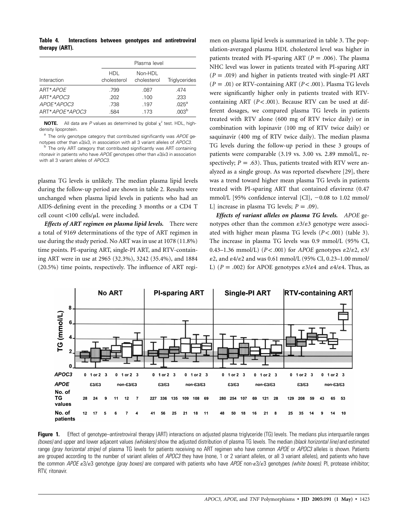**Table 4. Interactions between genotypes and antiretroviral therapy (ART).**

|                |                    | Plasma level           |                   |
|----------------|--------------------|------------------------|-------------------|
| Interaction    | HDI<br>cholesterol | Non-HDL<br>cholesterol | Triglycerides     |
| ART*APOE       | .799               | .087                   | .474              |
| ART*APOC3      | .202               | .100                   | .233              |
| APOE*APOC3     | .738               | .197                   | .025 <sup>a</sup> |
| ART*APOE*APOC3 | .584               | .173                   | .003 <sup>b</sup> |

**NOTE.** All data are *P* values as determined by global  $x^2$  test. HDL, highdensity lipoprotein.

<sup>a</sup> The only genotype category that contributed significantly was *APOE* genotypes other than  $\epsilon$ 3/ $\epsilon$ 3, in association with all 3 variant alleles of *APOC3*.<br><sup>b</sup> The only ART category that contributed significantly was ART containing

ritonavir in patients who have *APOE* genotypes other than  $\varepsilon 3/\varepsilon 3$  in association with all 3 variant alleles of *APOC3*.

plasma TG levels is unlikely. The median plasma lipid levels during the follow-up period are shown in table 2. Results were unchanged when plasma lipid levels in patients who had an AIDS-defining event in the preceding 3 months or a CD4 T cell count <100 cells/ $\mu$ L were included.

*Effects of ART regimen on plasma lipid levels.* There were a total of 9169 determinations of the type of ART regimen in use during the study period. No ART was in use at 1078 (11.8%) time points. PI-sparing ART, single-PI ART, and RTV-containing ART were in use at 2965 (32.3%), 3242 (35.4%), and 1884 (20.5%) time points, respectively. The influence of ART regi-

men on plasma lipid levels is summarized in table 3. The population-averaged plasma HDL cholesterol level was higher in patients treated with PI-sparing ART ( $P = .006$ ). The plasma NHC level was lower in patients treated with PI-sparing ART  $(P = .019)$  and higher in patients treated with single-PI ART  $(P = .01)$  or RTV-containing ART  $(P < .001)$ . Plasma TG levels were significantly higher only in patients treated with RTVcontaining ART  $(P < .001)$ . Because RTV can be used at different dosages, we compared plasma TG levels in patients treated with RTV alone (600 mg of RTV twice daily) or in combination with lopinavir (100 mg of RTV twice daily) or saquinavir (400 mg of RTV twice daily). The median plasma TG levels during the follow-up period in these 3 groups of patients were comparable (3.19 vs. 3.00 vs. 2.89 mmol/L, respectively;  $P = .63$ ). Thus, patients treated with RTV were analyzed as a single group. As was reported elsewhere [29], there was a trend toward higher mean plasma TG levels in patients treated with PI-sparing ART that contained efavirenz (0.47 mmol/L [95% confidence interval  $\{CI\}$ ,  $-0.08$  to 1.02 mmol/ L] increase in plasma TG levels;  $P = .09$ .

*Effects of variant alleles on plasma TG levels. APOE* genotypes other than the common  $\varepsilon 3/\varepsilon 3$  genotype were associated with higher mean plasma TG levels  $(P < .001)$  (table 3). The increase in plasma TG levels was 0.9 mmol/L (95% CI, 0.43–1.36 mmol/L)  $(P < .001)$  for *APOE* genotypes  $\epsilon$ 2/ $\epsilon$ 2,  $\epsilon$ 3/  $\epsilon$ 2, and  $\epsilon$ 4/ $\epsilon$ 2 and was 0.61 mmol/L (95% CI, 0.23–1.00 mmol/ L) ( $P = .002$ ) for APOE genotypes  $\varepsilon 3/\varepsilon 4$  and  $\varepsilon 4/\varepsilon 4$ . Thus, as



**Figure 1.** Effect of genotype–antiretroviral therapy (ART) interactions on adjusted plasma triglyceride (TG) levels. The medians plus interquartile ranges *(boxes)* and upper and lower adjacent values *(whiskers)* show the adjusted distribution of plasma TG levels. The median *(black horizontal line)* and estimated range *(gray horizontal stripe)* of plasma TG levels for patients receiving no ART regimen who have common *APOE* or *APOC3* alleles is shown. Patients are grouped according to the number of variant alleles of *APOC3* they have (none, 1 or 2 variant alleles, or all 3 variant alleles), and patients who have the common *APOE*  $\epsilon 3/\epsilon 3$  genotype *(gray boxes)* are compared with patients who have *APOE* non- $\epsilon 3/\epsilon 3$  genotypes *(white boxes)*. PI, protease inhibitor; RTV, ritonavir.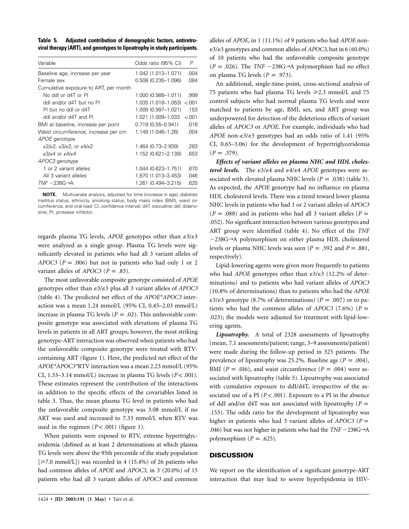**Table 5. Adjusted contribution of demographic factors, antiretroviral therapy (ART), and genotypes to lipoatrophy in study participants.**

| Variable                                                                              | Odds ratio (95% CI)   | P      |
|---------------------------------------------------------------------------------------|-----------------------|--------|
| Baseline age, increase per year                                                       | 1.042 (1.013-1.071)   | .004   |
| Female sex                                                                            | 0.508 (0.235-1.096)   | .084   |
| Cumulative exposure to ART, per month                                                 |                       |        |
| No ddl or d4T or Pl                                                                   | 1.000 (0.988-1.011)   | .999   |
| ddl and/or d4T but no Pl                                                              | 1.035 (1.018–1.053)   | < 0.01 |
| PI but no ddl or d4T                                                                  | 1.009 (0.997-1.021)   | .153   |
| ddl and/or d4T and Pl                                                                 | 1.021 (1.009-1.033)   | &0.01  |
| BMI at baseline, increase per point                                                   | $0.719(0.55 - 0.941)$ | .016   |
| Waist circumference, increase per cm                                                  | 1.148 (1.046–1.26)    | .004   |
| APOE genotype                                                                         |                       |        |
| $\epsilon$ 2/ $\epsilon$ 2, $\epsilon$ 3/ $\epsilon$ 2, or $\epsilon$ 4/ $\epsilon$ 2 | 1.464 (0.73-2.939)    | .283   |
| $\epsilon$ 3/ $\epsilon$ 4 or $\epsilon$ 4/ $\epsilon$ 4                              | 1.152 (0.621-2.138)   | .653   |
| APOC3 genotype                                                                        |                       |        |
| 1 or 2 variant alleles                                                                | 1.044 (0.623-1.751)   | .870   |
| All 3 variant alleles                                                                 | 1.870 (1.013-3.453)   | .046   |
| $TNF - 238G \rightarrow A$                                                            | 1.261 (0.494-3.215)   | .625   |

**NOTE.** Multivariate analysis, adjusted for time (increase in age), diabetes mellitus status, ethnicity, smoking status, body mass index (BMI), waist circumference, and viral load. CI, confidence interval; d4T, stavudine; ddI, didanosine; PI, protease inhibitor.

regards plasma TG levels, *APOE* genotypes other than  $\epsilon 3/\epsilon 3$ were analyzed as a single group. Plasma TG levels were significantly elevated in patients who had all 3 variant alleles of *APOC3* ( $P = .006$ ) but not in patients who had only 1 or 2 variant alleles of *APOC3* ( $P = .83$ ).

The most unfavorable composite genotype consisted of *APOE* genotypes other than  $\epsilon 3/\epsilon 3$  plus all 3 variant alleles of *APOC3* (table 4). The predicted net effect of the *APOE\*APOC3* interaction was a mean 1.24 mmol/L (95% CI, 0.45–2.03 mmol/L) increase in plasma TG levels ( $P = .02$ ). This unfavorable composite genotype was associated with elevations of plasma TG levels in patients in all ART groups; however, the most striking genotype-ART interaction was observed when patients who had the unfavorable composite genotype were treated with RTVcontaining ART (figure 1). Here, the predicted net effect of the *APOE\*APOC3\**RTV interaction was a mean 2.23 mmol/L (95% CI,  $1.33-3.14$  mmol/L) increase in plasma TG levels  $(P < .001)$ . These estimates represent the contribution of the interactions in addition to the specific effects of the covariables listed in table 3. Thus, the mean plasma TG level in patients who had the unfavorable composite genotype was 3.08 mmol/L if no ART was used and increased to 7.33 mmol/L when RTV was used in the regimen  $(P < .001)$  (figure 1).

When patients were exposed to RTV, extreme hypertriglyceridemia (defined as at least 2 determinations at which plasma TG levels were above the 95th percentile of the study population  $[\geq 7.0 \text{ mmol/L}]$ ) was recorded in 4 (15.4%) of 26 patients who had common alleles of *APOE* and *APOC3,* in 3 (20.0%) of 15 patients who had all 3 variant alleles of *APOC3* and common

alleles of *APOE,* in 1 (11.1%) of 9 patients who had *APOE* non- 3/3 genotypes and common alleles of *APOC3,* but in 6 (60.0%) of 10 patients who had the unfavorable composite genotype  $(P = .026)$ . The *TNF*  $-238G \rightarrow A$  polymorphism had no effect on plasma TG levels  $(P = .973)$ .

An additional, single-time-point, cross-sectional analysis of 75 patients who had plasma TG levels ≥2.3 mmol/L and 75 control subjects who had normal plasma TG levels and were matched to patients by age, BMI, sex, and ART group was underpowered for detection of the deleterious effects of variant alleles of *APOC3* or *APOE*. For example, individuals who had *APOE* non- $\epsilon$ 3/ $\epsilon$ 3 genotypes had an odds ratio of 1.41 (95%) CI, 0.65–3.06) for the development of hypertriglyceridemia  $(P = .379).$ 

*Effects of variant alleles on plasma NHC and HDL cholesterol levels.* The  $\epsilon 3/\epsilon 4$  and  $\epsilon 4/\epsilon 4$  *APOE* genotypes were associated with elevated plasma NHC levels  $(P = .038)$  (table 3). As expected, the *APOE* genotype had no influence on plasma HDL cholesterol levels. There was a trend toward lower plasma NHC levels in patients who had 1 or 2 variant alleles of *APOC3*  $(P = .088)$  and in patients who had all 3 variant alleles  $(P = )$ .052). No significant interaction between various genotypes and ART group were identified (table 4). No effect of the *TNF*  $-238G\rightarrow A$  polymorphism on either plasma HDL cholesterol levels or plasma NHC levels was seen ( $P = .592$  and  $P = .881$ , respectively).

Lipid-lowering agents were given more frequently to patients who had *APOE* genotypes other than  $\epsilon 3/\epsilon 3$  (12.2% of determinations) and to patients who had variant alleles of *APOC3* (10.8% of determinations) than to patients who had the *APOE*  $\varepsilon$ 3/ $\varepsilon$ 3 genotype (8.7% of determinations) ( $P = .007$ ) or to patients who had the common alleles of *APOC3* (7.6%) ( $P =$ .023); the models were adjusted for treatment with lipid-lowering agents.

*Lipoatrophy.* A total of 2328 assessments of lipoatrophy (mean, 7.1 assessments/patient; range, 3–9 assessments/patient) were made during the follow-up period in 325 patients. The prevalence of lipoatrophy was 25.2%. Baseline age ( $P = .004$ ), BMI ( $P = .016$ ), and waist circumference ( $P = .004$ ) were associated with lipoatrophy (table 5). Lipoatrophy was associated with cumulative exposure to ddI/d4T, irrespective of the associated use of a PI  $(P < .001)$ . Exposure to a PI in the absence of ddI and/or d4T was not associated with lipoatrophy  $(P =$ .153). The odds ratio for the development of lipoatrophy was higher in patients who had 3 variant alleles of  $APOC3$  ( $P =$ .046) but was not higher in patients who had the  $TNF - 238G \rightarrow A$ polymorphism  $(P = .625)$ .

#### **DISCUSSION**

We report on the identification of a significant genotype-ART interaction that may lead to severe hyperlipidemia in HIV-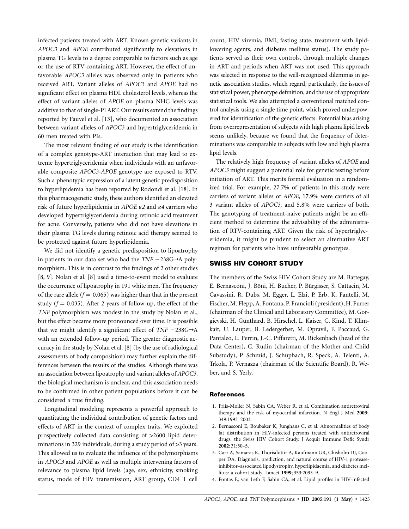infected patients treated with ART. Known genetic variants in *APOC3* and *APOE* contributed significantly to elevations in plasma TG levels to a degree comparable to factors such as age or the use of RTV-containing ART. However, the effect of unfavorable *APOC3* alleles was observed only in patients who received ART. Variant alleles of *APOC3* and *APOE* had no significant effect on plasma HDL cholesterol levels, whereas the effect of variant alleles of *APOE* on plasma NHC levels was additive to that of single-PI ART. Our results extend the findings reported by Fauvel et al. [13], who documented an association between variant alleles of *APOC3* and hypertriglyceridemia in 60 men treated with PIs.

The most relevant finding of our study is the identification of a complex genotype-ART interaction that may lead to extreme hypertriglyceridemia when individuals with an unfavorable composite *APOC3-APOE* genotype are exposed to RTV. Such a phenotypic expression of a latent genetic predisposition to hyperlipidemia has been reported by Rodondi et al. [18]. In this pharmacogenetic study, these authors identified an elevated risk of future hyperlipidemia in *APOE 2* and *4* carriers who developed hypertriglyceridemia during retinoic acid treatment for acne. Conversely, patients who did not have elevations in their plasma TG levels during retinoic acid therapy seemed to be protected against future hyperlipidemia.

We did not identify a genetic predisposition to lipoatrophy in patients in our data set who had the  $TNF - 238G \rightarrow A$  polymorphism. This is in contrast to the findings of 2 other studies [8, 9]. Nolan et al. [8] used a time-to-event model to evaluate the occurrence of lipoatrophy in 191 white men. The frequency of the rare allele ( $f = 0.065$ ) was higher than that in the present study ( $f = 0.035$ ). After 2 years of follow-up, the effect of the *TNF* polymorphism was modest in the study by Nolan et al., but the effect became more pronounced over time. It is possible that we might identify a significant effect of  $TNF - 238G \rightarrow A$ with an extended follow-up period. The greater diagnostic accuracy in the study by Nolan et al. [8] (by the use of radiological assessments of body composition) may further explain the differences between the results of the studies. Although there was an association between lipoatrophy and variant alleles of *APOC3,* the biological mechanism is unclear, and this association needs to be confirmed in other patient populations before it can be considered a true finding.

Longitudinal modeling represents a powerful approach to quantitating the individual contribution of genetic factors and effects of ART in the context of complex traits. We exploited prospectively collected data consisting of  $>2600$  lipid determinations in 329 individuals, during a study period of  $>3$  years. This allowed us to evaluate the influence of the polymorphisms in *APOC3* and *APOE* as well as multiple intervening factors of relevance to plasma lipid levels (age, sex, ethnicity, smoking status, mode of HIV transmission, ART group, CD4 T cell count, HIV viremia, BMI, fasting state, treatment with lipidlowering agents, and diabetes mellitus status). The study patients served as their own controls, through multiple changes in ART and periods when ART was not used. This approach was selected in response to the well-recognized dilemmas in genetic association studies, which regard, particularly, the issues of statistical power, phenotype definition, and the use of appropriate statistical tools. We also attempted a conventional matched control analysis using a single time point, which proved underpowered for identification of the genetic effects. Potential bias arising from overrepresentation of subjects with high plasma lipid levels seems unlikely, because we found that the frequency of determinations was comparable in subjects with low and high plasma lipid levels.

The relatively high frequency of variant alleles of *APOE* and *APOC3* might suggest a potential role for genetic testing before initiation of ART. This merits formal evaluation in a randomized trial. For example, 27.7% of patients in this study were carriers of variant alleles of *APOE,* 17.9% were carriers of all 3 variant alleles of *APOC3,* and 5.8% were carriers of both. The genotyping of treatment-naive patients might be an efficient method to determine the advisability of the administration of RTV-containing ART. Given the risk of hypertriglyceridemia, it might be prudent to select an alternative ART regimen for patients who have unfavorable genotypes.

## **SWISS HIV COHORT STUDY**

The members of the Swiss HIV Cohort Study are M. Battegay, E. Bernasconi, J. Böni, H. Bucher, P. Bürgisser, S. Cattacin, M. Cavassini, R. Dubs, M. Egger, L. Elzi, P. Erb, K. Fantelli, M. Fischer, M. Flepp, A. Fontana, P. Francioli (president), H. Furrer (chairman of the Clinical and Laboratory Committee), M. Gorgievski, H. Günthard, B. Hirschel, L. Kaiser, C. Kind, T. Klimkait, U. Lauper, B. Ledergerber, M. Opravil, F. Paccaud, G. Pantaleo, L. Perrin, J.-C. Piffaretti, M. Rickenbach (head of the Data Center), C. Rudin (chairman of the Mother and Child Substudy), P. Schmid, J. Schüpbach, R. Speck, A. Telenti, A. Trkola, P. Vernazza (chairman of the Scientific Board), R. Weber, and S. Yerly.

#### **References**

- 1. Friis-Moller N, Sabin CA, Weber R, et al. Combination antiretroviral therapy and the risk of myocardial infarction. N Engl J Med **2003**; 349:1993–2003.
- 2. Bernasconi E, Boubaker K, Junghans C, et al. Abnormalities of body fat distribution in HIV-infected persons treated with antiretroviral drugs: the Swiss HIV Cohort Study. J Acquir Immune Defic Syndr **2002**; 31:50–5.
- 3. Carr A, Samaras K, Thorisdottir A, Kaufmann GR, Chisholm DJ, Cooper DA. Diagnosis, prediction, and natural course of HIV-1 proteaseinhibitor–associated lipodystrophy, hyperlipidaemia, and diabetes mellitus: a cohort study. Lancet **1999**; 353:2093–9.
- 4. Fontas E, van Leth F, Sabin CA, et al. Lipid profiles in HIV-infected